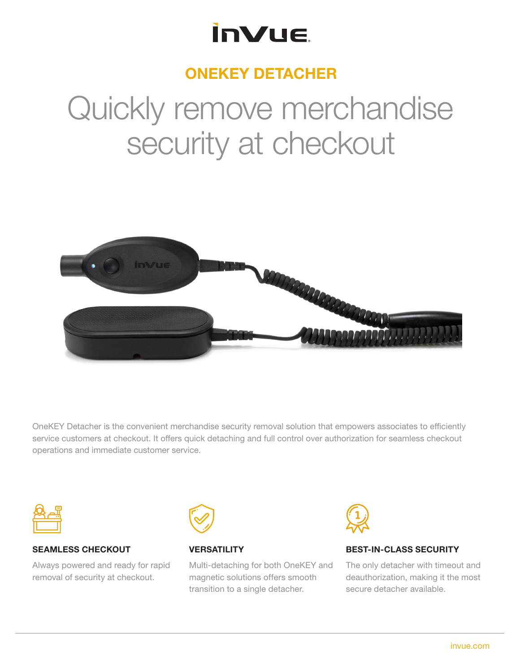### **InVue**

### ONEKEY DETACHER

# Quickly remove merchandise security at checkout



OneKEY Detacher is the convenient merchandise security removal solution that empowers associates to efficiently service customers at checkout. It offers quick detaching and full control over authorization for seamless checkout operations and immediate customer service.



#### SEAMLESS CHECKOUT

Always powered and ready for rapid removal of security at checkout.



#### **VERSATILITY**

Multi-detaching for both OneKEY and magnetic solutions offers smooth transition to a single detacher.



#### BEST-IN-CLASS SECURITY

The only detacher with timeout and deauthorization, making it the most secure detacher available.